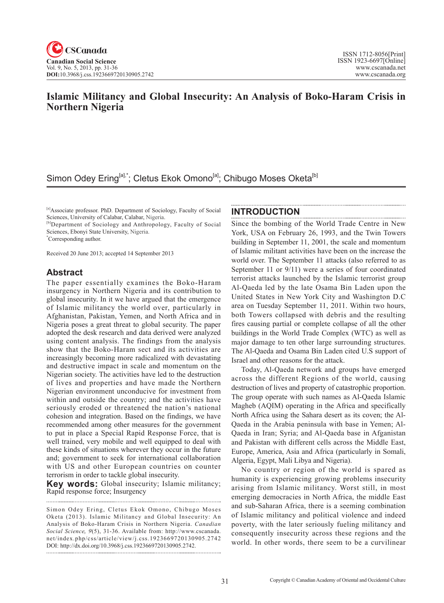### **Islamic Militancy and Global Insecurity: An Analysis of Boko-Haram Crisis in Northern Nigeria**

### Simon Odey Ering<sup>[a],\*</sup>; Cletus Ekok Omono<sup>[a]</sup>; Chibugo Moses Oketa<sup>[b]</sup>

[a]Associate professor. PhD. Department of Sociology, Faculty of Social Sciences, University of Calabar, Calabar, Nigeria.

[b]Department of Sociology and Anthropology, Faculty of Social Sciences, Ebonyi State University, Nigeria.

\* Corresponding author.

Received 20 June 2013; accepted 14 September 2013

### **Abstract**

The paper essentially examines the Boko-Haram insurgency in Northern Nigeria and its contribution to global insecurity. In it we have argued that the emergence of Islamic militancy the world over, particularly in Afghanistan, Pakistan, Yemen, and North Africa and in Nigeria poses a great threat to global security. The paper adopted the desk research and data derived were analyzed using content analysis. The findings from the analysis show that the Boko-Haram sect and its activities are increasingly becoming more radicalized with devastating and destructive impact in scale and momentum on the Nigerian society. The activities have led to the destruction of lives and properties and have made the Northern Nigerian environment unconducive for investment from within and outside the country; and the activities have seriously eroded or threatened the nation's national cohesion and integration. Based on the findings, we have recommended among other measures for the government to put in place a Special Rapid Response Force, that is well trained, very mobile and well equipped to deal with these kinds of situations wherever they occur in the future and; government to seek for international collaboration with US and other European countries on counter terrorism in order to tackle global insecurity.

**Key words:** Global insecurity; Islamic militancy; Rapid response force; Insurgency

#### **INTRODUCTION**

Since the bombing of the World Trade Centre in New York, USA on February 26, 1993, and the Twin Towers building in September 11, 2001, the scale and momentum of Islamic militant activities have been on the increase the world over. The September 11 attacks (also referred to as September 11 or 9/11) were a series of four coordinated terrorist attacks launched by the Islamic terrorist group Al-Qaeda led by the late Osama Bin Laden upon the United States in New York City and Washington D.C area on Tuesday September 11, 2011. Within two hours, both Towers collapsed with debris and the resulting fires causing partial or complete collapse of all the other buildings in the World Trade Complex (WTC) as well as major damage to ten other large surrounding structures. The Al-Qaeda and Osama Bin Laden cited U.S support of Israel and other reasons for the attack.

Today, Al-Qaeda network and groups have emerged across the different Regions of the world, causing destruction of lives and property of catastrophic proportion. The group operate with such names as Al-Qaeda Islamic Magheb (AQIM) operating in the Africa and specifically North Africa using the Sahara desert as its coven; the Al-Qaeda in the Arabia peninsula with base in Yemen; Al-Qaeda in Iran; Syria; and Al-Qaeda base in Afganistan and Pakistan with different cells across the Middle East, Europe, America, Asia and Africa (particularly in Somali, Algeria, Egypt, Mali Libya and Nigeria).

No country or region of the world is spared as humanity is experiencing growing problems insecurity arising from Islamic militancy. Worst still, in most emerging democracies in North Africa, the middle East and sub-Saharan Africa, there is a seeming combination of Islamic militancy and political violence and indeed poverty, with the later seriously fueling militancy and consequently insecurity across these regions and the world. In other words, there seem to be a curvilinear

Simon Odey Ering, Cletus Ekok Omono, Chibugo Moses Oketa (2013). Islamic Militancy and Global Insecurity: An Analysis of Boko-Haram Crisis in Northern Nigeria. *Canadian Social Science*, 9(5), 31-36. Available from: http://www.cscanada. net/index.php/css/article/view/j.css.1923669720130905.2742 DOI: http://dx.doi.org/10.3968/j.css.1923669720130905.2742.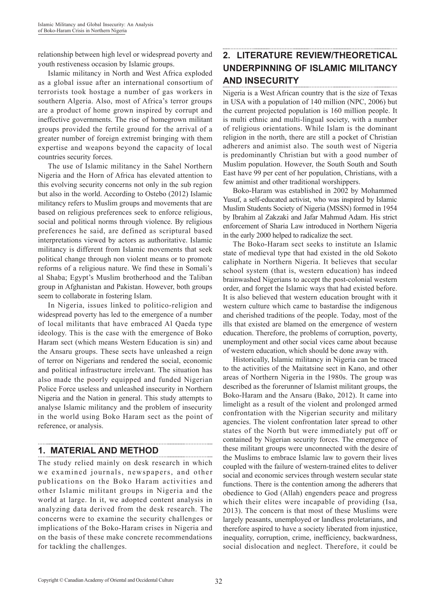relationship between high level or widespread poverty and youth restiveness occasion by Islamic groups.

Islamic militancy in North and West Africa exploded as a global issue after an international consortium of terrorists took hostage a number of gas workers in southern Algeria. Also, most of Africa's terror groups are a product of home grown inspired by corrupt and ineffective governments. The rise of homegrown militant groups provided the fertile ground for the arrival of a greater number of foreign extremist bringing with them expertise and weapons beyond the capacity of local countries security forces.

The use of Islamic militancy in the Sahel Northern Nigeria and the Horn of Africa has elevated attention to this evolving security concerns not only in the sub region but also in the world. According to Ostebo (2012) Islamic militancy refers to Muslim groups and movements that are based on religious preferences seek to enforce religious, social and political norms through violence. By religious preferences he said, are defined as scriptural based interpretations viewed by actors as authoritative. Islamic militancy is different from Islamic movements that seek political change through non violent means or to promote reforms of a religious nature. We find these in Somali's al Shaba; Egypt's Muslim brotherhood and the Taliban group in Afghanistan and Pakistan. However, both groups seem to collaborate in fostering Islam.

In Nigeria, issues linked to politico-religion and widespread poverty has led to the emergence of a number of local militants that have embraced Al Qaeda type ideology. This is the case with the emergence of Boko Haram sect (which means Western Education is sin) and the Ansaru groups. These sects have unleashed a reign of terror on Nigerians and rendered the social, economic and political infrastructure irrelevant. The situation has also made the poorly equipped and funded Nigerian Police Force useless and unleashed insecurity in Northern Nigeria and the Nation in general. This study attempts to analyse Islamic militancy and the problem of insecurity in the world using Boko Haram sect as the point of reference, or analysis.

### **1. MATERIAL AND METHOD**

The study relied mainly on desk research in which we examined journals, newspapers, and other publications on the Boko Haram activities and other Islamic militant groups in Nigeria and the world at large. In it, we adopted content analysis in analyzing data derived from the desk research. The concerns were to examine the security challenges or implications of the Boko-Haram crises in Nigeria and on the basis of these make concrete recommendations for tackling the challenges.

# **2. LITERATURE REVIEW/THEORETICAL UNDERPINNING OF ISLAMIC MILITANCY AND INSECURITY**

Nigeria is a West African country that is the size of Texas in USA with a population of 140 million (NPC, 2006) but the current projected population is 160 million people. It is multi ethnic and multi-lingual society, with a number of religious orientations. While Islam is the dominant religion in the north, there are still a pocket of Christian adherers and animist also. The south west of Nigeria is predominantly Christian but with a good number of Muslim population. However, the South South and South East have 99 per cent of her population, Christians, with a few animist and other traditional worshippers.

Boko-Haram was established in 2002 by Mohammed Yusuf, a self-educated activist, who was inspired by Islamic Muslim Students Society of Nigeria (MSSN) formed in 1954 by Ibrahim al Zakzaki and Jafar Mahmud Adam. His strict enforcement of Sharia Law introduced in Northern Nigeria in the early 2000 helped to radicalize the sect.

The Boko-Haram sect seeks to institute an Islamic state of medieval type that had existed in the old Sokoto caliphate in Northern Nigeria. It believes that secular school system (that is, western education) has indeed brainwashed Nigerians to accept the post-colonial western order, and forget the Islamic ways that had existed before. It is also believed that western education brought with it western culture which came to bastardise the indigenous and cherished traditions of the people. Today, most of the ills that existed are blamed on the emergence of western education. Therefore, the problems of corruption, poverty, unemployment and other social vices came about because of western education, which should be done away with.

Historically, Islamic militancy in Nigeria can be traced to the activities of the Maitatsine sect in Kano, and other areas of Northern Nigeria in the 1980s. The group was described as the forerunner of Islamist militant groups, the Boko-Haram and the Ansaru (Bako, 2012). It came into limelight as a result of the violent and prolonged armed confrontation with the Nigerian security and military agencies. The violent confrontation later spread to other states of the North but were immediately put off or contained by Nigerian security forces. The emergence of these militant groups were unconnected with the desire of the Muslims to embrace Islamic law to govern their lives coupled with the failure of western-trained elites to deliver social and economic services through western secular state functions. There is the contention among the adherers that obedience to God (Allah) engenders peace and progress which their elites were incapable of providing (Isa, 2013). The concern is that most of these Muslims were largely peasants, unemployed or landless proletarians, and therefore aspired to have a society liberated from injustice, inequality, corruption, crime, inefficiency, backwardness, social dislocation and neglect. Therefore, it could be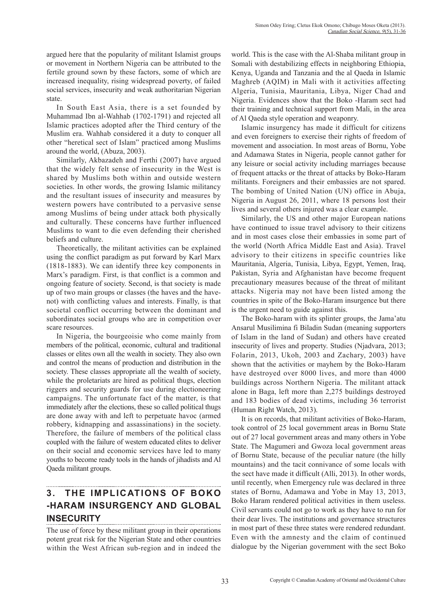argued here that the popularity of militant Islamist groups or movement in Northern Nigeria can be attributed to the fertile ground sown by these factors, some of which are increased inequality, rising widespread poverty, of failed social services, insecurity and weak authoritarian Nigerian state.

In South East Asia, there is a set founded by Muhammad Ibn al-Wahhab (1702-1791) and rejected all Islamic practices adopted after the Third century of the Muslim era. Wahhab considered it a duty to conquer all other "heretical sect of Islam" practiced among Muslims around the world, (Abuza, 2003).

Similarly, Akbazadeh and Ferthi (2007) have argued that the widely felt sense of insecurity in the West is shared by Muslims both within and outside western societies. In other words, the growing Islamic militancy and the resultant issues of insecurity and measures by western powers have contributed to a pervasive sense among Muslims of being under attack both physically and culturally. These concerns have further influenced Muslims to want to die even defending their cherished beliefs and culture.

Theoretically, the militant activities can be explained using the conflict paradigm as put forward by Karl Marx (1818-1883). We can identify three key components in Marx's paradigm. First, is that conflict is a common and ongoing feature of society. Second, is that society is made up of two main groups or classes (the haves and the havenot) with conflicting values and interests. Finally, is that societal conflict occurring between the dominant and subordinates social groups who are in competition over scare resources.

In Nigeria, the bourgeoisie who come mainly from members of the political, economic, cultural and traditional classes or elites own all the wealth in society. They also own and control the means of production and distribution in the society. These classes appropriate all the wealth of society, while the proletariats are hired as political thugs, election riggers and security guards for use during electioneering campaigns. The unfortunate fact of the matter, is that immediately after the elections, these so called political thugs are done away with and left to perpetuate havoc (armed robbery, kidnapping and assassinations) in the society. Therefore, the failure of members of the political class coupled with the failure of western educated elites to deliver on their social and economic services have led to many youths to become ready tools in the hands of jihadists and Al Qaeda militant groups.

# **3. THE IMPLICATIONS OF BOKO -HARAM INSURGENCY AND GLOBAL INSECURITY**

The use of force by these militant group in their operations potent great risk for the Nigerian State and other countries within the West African sub-region and in indeed the

world. This is the case with the Al-Shaba militant group in Somali with destabilizing effects in neighboring Ethiopia, Kenya, Uganda and Tanzania and the al Qaeda in Islamic Maghreb (AQIM) in Mali with it activities affecting Algeria, Tunisia, Mauritania, Libya, Niger Chad and Nigeria. Evidences show that the Boko -Haram sect had their training and technical support from Mali, in the area of Al Qaeda style operation and weaponry.

Islamic insurgency has made it difficult for citizens and even foreigners to exercise their rights of freedom of movement and association. In most areas of Bornu, Yobe and Adamawa States in Nigeria, people cannot gather for any leisure or social activity including marriages because of frequent attacks or the threat of attacks by Boko-Haram militants. Foreigners and their embassies are not spared. The bombing of United Nation (UN) office in Abuja, Nigeria in August 26, 2011, where 18 persons lost their lives and several others injured was a clear example.

Similarly, the US and other major European nations have continued to issue travel advisory to their citizens and in most cases close their embassies in some part of the world (North Africa Middle East and Asia). Travel advisory to their citizens in specific countries like Mauritania, Algeria, Tunisia, Libya, Egypt, Yemen, Iraq, Pakistan, Syria and Afghanistan have become frequent precautionary measures because of the threat of militant attacks. Nigeria may not have been listed among the countries in spite of the Boko-Haram insurgence but there is the urgent need to guide against this.

The Boko-haram with its splinter groups, the Jama'atu Ansarul Musilimina fi Biladin Sudan (meaning supporters of Islam in the land of Sudan) and others have created insecurity of lives and property. Studies (Njadvara, 2013; Folarin, 2013, Ukoh, 2003 and Zachary, 2003) have shown that the activities or mayhem by the Boko-Haram have destroyed over 8000 lives, and more than 4000 buildings across Northern Nigeria. The militant attack alone in Baga, left more than 2,275 buildings destroyed and 183 bodies of dead victims, including 36 terrorist (Human Right Watch, 2013).

It is on records, that militant activities of Boko-Haram, took control of 25 local government areas in Bornu State out of 27 local government areas and many others in Yobe State. The Magumeri and Gwoza local government areas of Bornu State, because of the peculiar nature (the hilly mountains) and the tacit connivance of some locals with the sect have made it difficult (Alli, 2013). In other words, until recently, when Emergency rule was declared in three states of Bornu, Adamawa and Yobe in May 13, 2013, Boko Haram rendered political activities in them useless. Civil servants could not go to work as they have to run for their dear lives. The institutions and governance structures in most part of these three states were rendered redundant. Even with the amnesty and the claim of continued dialogue by the Nigerian government with the sect Boko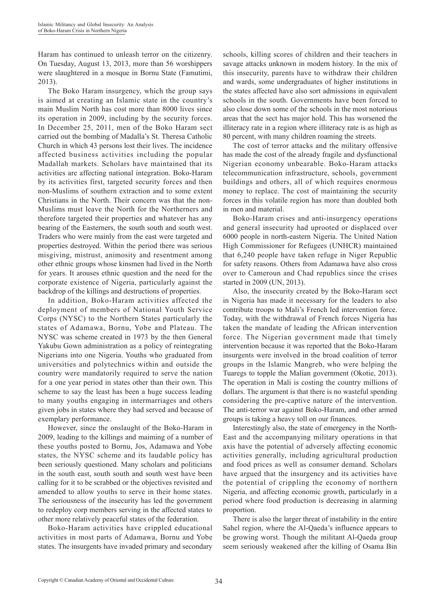Haram has continued to unleash terror on the citizenry. On Tuesday, August 13, 2013, more than 56 worshippers were slaughtered in a mosque in Bornu State (Famutimi, 2013).

The Boko Haram insurgency, which the group says is aimed at creating an Islamic state in the country's main Muslim North has cost more than 8000 lives since its operation in 2009, including by the security forces. In December 25, 2011, men of the Boko Haram sect carried out the bombing of Madalla's St. Theresa Catholic Church in which 43 persons lost their lives. The incidence affected business activities including the popular Madallah markets. Scholars have maintained that its activities are affecting national integration. Boko-Haram by its activities first, targeted security forces and then non-Muslims of southern extraction and to some extent Christians in the North. Their concern was that the non-Muslims must leave the North for the Northerners and therefore targeted their properties and whatever has any bearing of the Easterners, the south south and south west. Traders who were mainly from the east were targeted and properties destroyed. Within the period there was serious misgiving, mistrust, animosity and resentment among other ethnic groups whose kinsmen had lived in the North for years. It arouses ethnic question and the need for the corporate existence of Nigeria, particularly against the backdrop of the killings and destructions of properties.

In addition, Boko-Haram activities affected the deployment of members of National Youth Service Corps (NYSC) to the Northern States particularly the states of Adamawa, Bornu, Yobe and Plateau. The NYSC was scheme created in 1973 by the then General Yakubu Gown administration as a policy of reintegrating Nigerians into one Nigeria. Youths who graduated from universities and polytechnics within and outside the country were mandatorily required to serve the nation for a one year period in states other than their own. This scheme to say the least has been a huge success leading to many youths engaging in intermarriages and others given jobs in states where they had served and because of exemplary performance.

However, since the onslaught of the Boko-Haram in 2009, leading to the killings and maiming of a number of these youths posted to Bornu, Jos, Adamawa and Yobe states, the NYSC scheme and its laudable policy has been seriously questioned. Many scholars and politicians in the south east, south south and south west have been calling for it to be scrabbed or the objectives revisited and amended to allow youths to serve in their home states. The seriousness of the insecurity has led the government to redeploy corp members serving in the affected states to other more relatively peaceful states of the federation.

Boko-Haram activities have crippled educational activities in most parts of Adamawa, Bornu and Yobe states. The insurgents have invaded primary and secondary schools, killing scores of children and their teachers in savage attacks unknown in modern history. In the mix of this insecurity, parents have to withdraw their children and wards, some undergraduates of higher institutions in the states affected have also sort admissions in equivalent schools in the south. Governments have been forced to also close down some of the schools in the most notorious areas that the sect has major hold. This has worsened the illiteracy rate in a region where illiteracy rate is as high as 80 percent, with many children roaming the streets.

The cost of terror attacks and the military offensive has made the cost of the already fragile and dysfunctional Nigerian economy unbearable. Boko-Haram attacks telecommunication infrastructure, schools, government buildings and others, all of which requires enormous money to replace. The cost of maintaining the security forces in this volatile region has more than doubled both in men and material.

Boko-Haram crises and anti-insurgency operations and general insecurity had uprooted or displaced over 6000 people in north-eastern Nigeria. The United Nation High Commissioner for Refugees (UNHCR) maintained that 6,240 people have taken refuge in Niger Republic for safety reasons. Others from Adamawa have also cross over to Cameroun and Chad republics since the crises started in 2009 (UN, 2013).

Also, the insecurity created by the Boko-Haram sect in Nigeria has made it necessary for the leaders to also contribute troops to Mali's French led intervention force. Today, with the withdrawal of French forces Nigeria has taken the mandate of leading the African intervention force. The Nigerian government made that timely intervention because it was reported that the Boko-Haram insurgents were involved in the broad coalition of terror groups in the Islamic Mangreb, who were helping the Tuaregs to topple the Malian government (Okotie, 2013). The operation in Mali is costing the country millions of dollars. The argument is that there is no wasteful spending considering the pre-captive nature of the intervention. The anti-terror war against Boko-Haram, and other armed groups is taking a heavy toll on our finances.

Interestingly also, the state of emergency in the North-East and the accompanying military operations in that axis have the potential of adversely affecting economic activities generally, including agricultural production and food prices as well as consumer demand. Scholars have argued that the insurgency and its activities have the potential of crippling the economy of northern Nigeria, and affecting economic growth, particularly in a period where food production is decreasing in alarming proportion.

There is also the larger threat of instability in the entire Sahel region, where the Al-Qaeda's influence appears to be growing worst. Though the militant Al-Qaeda group seem seriously weakened after the killing of Osama Bin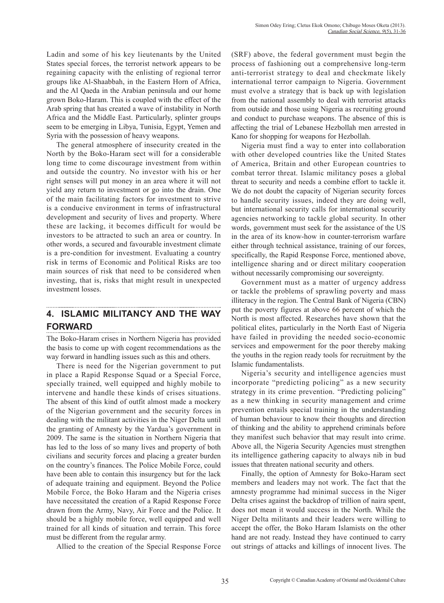Ladin and some of his key lieutenants by the United States special forces, the terrorist network appears to be regaining capacity with the enlisting of regional terror groups like Al-Shaabbah, in the Eastern Horn of Africa, and the Al Qaeda in the Arabian peninsula and our home grown Boko-Haram. This is coupled with the effect of the Arab spring that has created a wave of instability in North Africa and the Middle East. Particularly, splinter groups seem to be emerging in Libya, Tunisia, Egypt, Yemen and Syria with the possession of heavy weapons.

The general atmosphere of insecurity created in the North by the Boko-Haram sect will for a considerable long time to come discourage investment from within and outside the country. No investor with his or her right senses will put money in an area where it will not yield any return to investment or go into the drain. One of the main facilitating factors for investment to strive is a conducive environment in terms of infrastructural development and security of lives and property. Where these are lacking, it becomes difficult for would be investors to be attracted to such an area or country. In other words, a secured and favourable investment climate is a pre-condition for investment. Evaluating a country risk in terms of Economic and Political Risks are too main sources of risk that need to be considered when investing, that is, risks that might result in unexpected investment losses.

## **4. ISLAMIC MILITANCY AND THE WAY FORWARD**

The Boko-Haram crises in Northern Nigeria has provided the basis to come up with cogent recommendations as the way forward in handling issues such as this and others.

There is need for the Nigerian government to put in place a Rapid Response Squad or a Special Force, specially trained, well equipped and highly mobile to intervene and handle these kinds of crises situations. The absent of this kind of outfit almost made a mockery of the Nigerian government and the security forces in dealing with the militant activities in the Niger Delta until the granting of Amnesty by the Yardua's government in 2009. The same is the situation in Northern Nigeria that has led to the loss of so many lives and property of both civilians and security forces and placing a greater burden on the country's finances. The Police Mobile Force, could have been able to contain this insurgency but for the lack of adequate training and equipment. Beyond the Police Mobile Force, the Boko Haram and the Nigeria crises have necessitated the creation of a Rapid Response Force drawn from the Army, Navy, Air Force and the Police. It should be a highly mobile force, well equipped and well trained for all kinds of situation and terrain. This force must be different from the regular army.

Allied to the creation of the Special Response Force

(SRF) above, the federal government must begin the process of fashioning out a comprehensive long-term anti-terrorist strategy to deal and checkmate likely international terror campaign to Nigeria. Government must evolve a strategy that is back up with legislation from the national assembly to deal with terrorist attacks from outside and those using Nigeria as recruiting ground and conduct to purchase weapons. The absence of this is affecting the trial of Lebanese Hezbollah men arrested in Kano for shopping for weapons for Hezbollah.

Nigeria must find a way to enter into collaboration with other developed countries like the United States of America, Britain and other European countries to combat terror threat. Islamic militancy poses a global threat to security and needs a combine effort to tackle it. We do not doubt the capacity of Nigerian security forces to handle security issues, indeed they are doing well, but international security calls for international security agencies networking to tackle global security. In other words, government must seek for the assistance of the US in the area of its know-how in counter-terrorism warfare either through technical assistance, training of our forces, specifically, the Rapid Response Force, mentioned above, intelligence sharing and or direct military cooperation without necessarily compromising our sovereignty.

Government must as a matter of urgency address or tackle the problems of sprawling poverty and mass illiteracy in the region. The Central Bank of Nigeria (CBN) put the poverty figures at above 66 percent of which the North is most affected. Researches have shown that the political elites, particularly in the North East of Nigeria have failed in providing the needed socio-economic services and empowerment for the poor thereby making the youths in the region ready tools for recruitment by the Islamic fundamentalists.

Nigeria's security and intelligence agencies must incorporate "predicting policing" as a new security strategy in its crime prevention. "Predicting policing" as a new thinking in security management and crime prevention entails special training in the understanding of human behaviour to know their thoughts and direction of thinking and the ability to apprehend criminals before they manifest such behavior that may result into crime. Above all, the Nigeria Security Agencies must strengthen its intelligence gathering capacity to always nib in bud issues that threaten national security and others.

Finally, the option of Amnesty for Boko-Haram sect members and leaders may not work. The fact that the amnesty programme had minimal success in the Niger Delta crises against the backdrop of trillion of naira spent, does not mean it would success in the North. While the Niger Delta militants and their leaders were willing to accept the offer, the Boko Haram Islamists on the other hand are not ready. Instead they have continued to carry out strings of attacks and killings of innocent lives. The